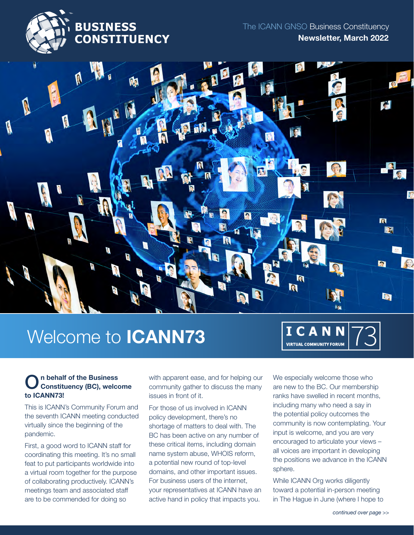



# Welcome to ICANN73



#### n behalf of the Business Constituency (BC), welcome to ICANN73! O

This is ICANN's Community Forum and the seventh ICANN meeting conducted virtually since the beginning of the pandemic.

First, a good word to ICANN staff for coordinating this meeting. It's no small feat to put participants worldwide into a virtual room together for the purpose of collaborating productively. ICANN's meetings team and associated staff are to be commended for doing so

with apparent ease, and for helping our community gather to discuss the many issues in front of it.

For those of us involved in ICANN policy development, there's no shortage of matters to deal with. The BC has been active on any number of these critical items, including domain name system abuse, WHOIS reform, a potential new round of top-level domains, and other important issues. For business users of the internet, your representatives at ICANN have an active hand in policy that impacts you.

We especially welcome those who are new to the BC. Our membership ranks have swelled in recent months, including many who need a say in the potential policy outcomes the community is now contemplating. Your input is welcome, and you are very encouraged to articulate your views – all voices are important in developing the positions we advance in the ICANN sphere.

While ICANN Org works diligently toward a potential in-person meeting in The Hague in June (where I hope to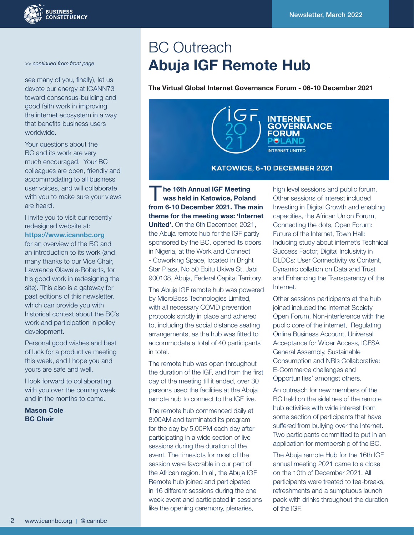

#### *>> continued from front page*

see many of you, finally), let us devote our energy at ICANN73 toward consensus-building and good faith work in improving the internet ecosystem in a way that benefits business users worldwide.

Your questions about the BC and its work are very much encouraged. Your BC colleagues are open, friendly and accommodating to all business user voices, and will collaborate with you to make sure your views are heard.

I invite you to visit our recently redesigned website at:

<https://www.icannbc.org>

for an overview of the BC and an introduction to its work (and many thanks to our Vice Chair, Lawrence Olawale-Roberts, for his good work in redesigning the site). This also is a gateway for past editions of this newsletter, which can provide you with historical context about the BC's work and participation in policy development.

Personal good wishes and best of luck for a productive meeting this week, and I hope you and yours are safe and well.

I look forward to collaborating with you over the coming week and in the months to come.

Mason Cole BC Chair

# BC Outreach Abuja IGF Remote Hub

The Virtual Global Internet Governance Forum - 06-10 December 2021



he 16th Annual IGF Meeting was held in Katowice, Poland from 6-10 December 2021. The main theme for the meeting was: 'Internet United'. On the 6th December, 2021. the Abuja remote hub for the IGF partly sponsored by the BC, opened its doors in Nigeria, at the Work and Connect - Coworking Space, located in Bright Star Plaza, No 50 Ebitu Ukiwe St, Jabi 900108, Abuja, Federal Capital Territory. T

The Abuja IGF remote hub was powered by MicroBoss Technologies Limited, with all necessary COVID prevention protocols strictly in place and adhered to, including the social distance seating arrangements, as the hub was fitted to accommodate a total of 40 participants in total.

The remote hub was open throughout the duration of the IGF, and from the first day of the meeting till it ended, over 30 persons used the facilities at the Abuja remote hub to connect to the IGF live.

The remote hub commenced daily at 8:00AM and terminated its program for the day by 5.00PM each day after participating in a wide section of live sessions during the duration of the event. The timeslots for most of the session were favorable in our part of the African region. In all, the Abuja IGF Remote hub joined and participated in 16 different sessions during the one week event and participated in sessions like the opening ceremony, plenaries,

high level sessions and public forum. Other sessions of interest included Investing in Digital Growth and enabling capacities, the African Union Forum, Connecting the dots, Open Forum: Future of the Internet, Town Hall: Inducing study about internet's Technical Success Factor, Digital Inclusivity in DLDCs: User Connectivity vs Content, Dynamic collation on Data and Trust and Enhancing the Transparency of the Internet.

Other sessions participants at the hub joined included the Internet Society Open Forum, Non-interference with the public core of the internet, Regulating Online Business Account, Universal Acceptance for Wider Access, IGFSA General Assembly, Sustainable Consumption and NRIs Collaborative: E-Commerce challenges and Opportunities' amongst others.

An outreach for new members of the BC held on the sidelines of the remote hub activities with wide interest from some section of participants that have suffered from bullying over the Internet. Two participants committed to put in an application for membership of the BC.

The Abuja remote Hub for the 16th IGF annual meeting 2021 came to a close on the 10th of December 2021. All participants were treated to tea-breaks, refreshments and a sumptuous launch pack with drinks throughout the duration of the IGF.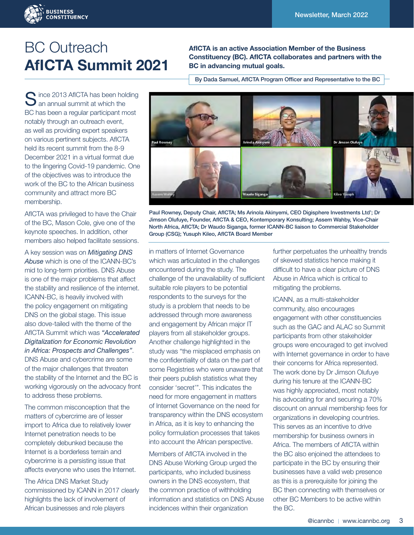

## BC Outreach AfICTA Summit 2021

nce 2013 AfICTA has been holding Since 2013 AfICTA has been hold<br>an annual summit at which the BC has been a regular participant most notably through an outreach event, as well as providing expert speakers on various pertinent subjects. AfICTA held its recent summit from the 8-9 December 2021 in a virtual format due to the lingering Covid-19 pandemic. One of the objectives was to introduce the work of the BC to the African business community and attract more BC membership.

AfICTA was privileged to have the Chair of the BC, Mason Cole, give one of the keynote speeches. In addition, other members also helped facilitate sessions.

A key session was on *Mitigating DNS Abuse* which is one of the ICANN-BC's mid to long-term priorities. DNS Abuse is one of the major problems that affect the stability and resilience of the internet. ICANN-BC, is heavily involved with the policy engagement on mitigating DNS on the global stage. This issue also dove-tailed with the theme of the AfICTA Summit which was *"Accelerated Digitalization for Economic Revolution in Africa: Prospects and Challenges"*. DNS Abuse and cybercrime are some of the major challenges that threaten the stability of the Internet and the BC is working vigorously on the advocacy front to address these problems.

The common misconception that the matters of cybercrime are of lesser import to Africa due to relatively lower Internet penetration needs to be completely debunked because the Internet is a borderless terrain and cybercrime is a persisting issue that affects everyone who uses the Internet.

The Africa DNS Market Study commissioned by ICANN in 2017 clearly highlights the lack of involvement of African businesses and role players

AfICTA is an active Association Member of the Business Constituency (BC). AfICTA collaborates and partners with the BC in advancing mutual goals.

By Dada Samuel, AfICTA Program Officer and Representative to the BC



Paul Rowney, Deputy Chair, AfICTA; Ms Arinola Akinyemi, CEO Digisphere Investments Ltd'; Dr Jimson Olufuye, Founder, AfICTA & CEO, Kontemporary Konsulting; Assem Wahby, Vice-Chair North Africa, AfICTA; Dr Waudo Siganga, former ICANN-BC liaison to Commercial Stakeholder Group (CSG); Yusuph Kileo, AfICTA Board Member

in matters of Internet Governance which was articulated in the challenges encountered during the study. The challenge of the unavailability of sufficient suitable role players to be potential respondents to the surveys for the study is a problem that needs to be addressed through more awareness and engagement by African major IT players from all stakeholder groups. Another challenge highlighted in the study was "the misplaced emphasis on the confidentiality of data on the part of some Registries who were unaware that their peers publish statistics what they consider 'secret'". This indicates the need for more engagement in matters of Internet Governance on the need for transparency within the DNS ecosystem in Africa, as it is key to enhancing the policy formulation processes that takes into account the African perspective.

Members of AfICTA involved in the DNS Abuse Working Group urged the participants, who included business owners in the DNS ecosystem, that the common practice of withholding information and statistics on DNS Abuse incidences within their organization

further perpetuates the unhealthy trends of skewed statistics hence making it difficult to have a clear picture of DNS Abuse in Africa which is critical to mitigating the problems.

ICANN, as a multi-stakeholder community, also encourages engagement with other constituencies such as the GAC and ALAC so Summit participants from other stakeholder groups were encouraged to get involved with Internet governance in order to have their concerns for Africa represented. The work done by Dr Jimson Olufuye during his tenure at the ICANN-BC was highly appreciated, most notably his advocating for and securing a 70% discount on annual membership fees for organizations in developing countries. This serves as an incentive to drive membership for business owners in Africa. The members of AfICTA within the BC also enjoined the attendees to participate in the BC by ensuring their businesses have a valid web presence as this is a prerequisite for joining the BC then connecting with themselves or other BC Members to be active within the BC.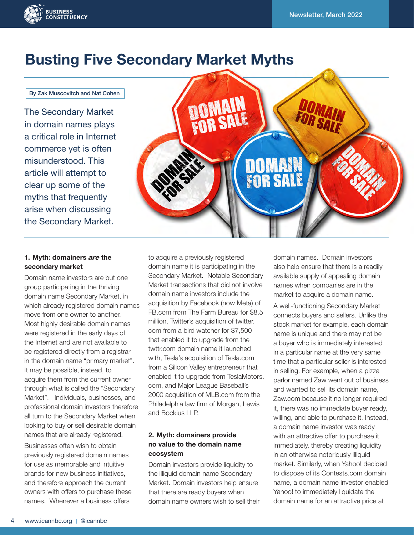

### Busting Five Secondary Market Myths

#### By Zak Muscovitch and Nat Cohen

The Secondary Market in domain names plays a critical role in Internet commerce yet is often misunderstood. This article will attempt to clear up some of the myths that frequently arise when discussing the Secondary Market.



### 1. Myth: domainers *are* the secondary market

Domain name investors are but one group participating in the thriving domain name Secondary Market, in which already registered domain names move from one owner to another. Most highly desirable domain names were registered in the early days of the Internet and are not available to be registered directly from a registrar in the domain name "primary market". It may be possible, instead, to acquire them from the current owner through what is called the "Secondary Market". Individuals, businesses, and professional domain investors therefore all turn to the Secondary Market when looking to buy or sell desirable domain names that are already registered.

Businesses often wish to obtain previously registered domain names for use as memorable and intuitive brands for new business initiatives, and therefore approach the current owners with offers to purchase these names. Whenever a business offers

to acquire a previously registered domain name it is participating in the Secondary Market. Notable Secondary Market transactions that did not involve domain name investors include the acquisition by Facebook (now Meta) of FB.com from The Farm Bureau for \$8.5 million, Twitter's acquisition of twitter. com from a bird watcher for \$7,500 that enabled it to upgrade from the twttr.com domain name it launched with, Tesla's acquisition of Tesla.com from a Silicon Valley entrepreneur that enabled it to upgrade from TeslaMotors. com, and Major League Baseball's 2000 acquisition of MLB.com from the Philadelphia law firm of Morgan, Lewis and Bockius LLP.

### 2. Myth: domainers provide no value to the domain name ecosystem

Domain investors provide liquidity to the illiquid domain name Secondary Market. Domain investors help ensure that there are ready buyers when domain name owners wish to sell their domain names. Domain investors also help ensure that there is a readily available supply of appealing domain names when companies are in the market to acquire a domain name.

A well-functioning Secondary Market connects buyers and sellers. Unlike the stock market for example, each domain name is unique and there may not be a buyer who is immediately interested in a particular name at the very same time that a particular seller is interested in selling. For example, when a pizza parlor named Zaw went out of business and wanted to sell its domain name, Zaw.com because it no longer required it, there was no immediate buyer ready, willing, and able to purchase it. Instead, a domain name investor was ready with an attractive offer to purchase it immediately, thereby creating liquidity in an otherwise notoriously illiquid market. Similarly, when Yahoo! decided to dispose of its Contests.com domain name, a domain name investor enabled Yahoo! to immediately liquidate the domain name for an attractive price at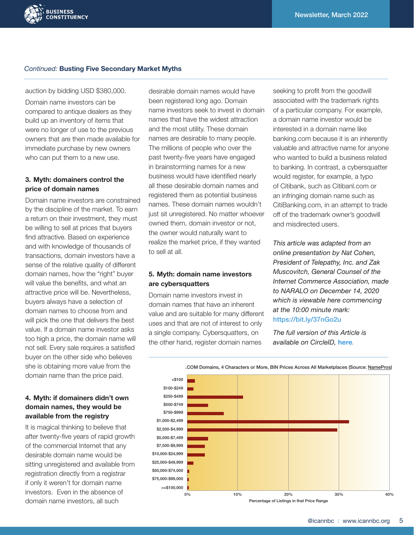### *Continued:* Busting Five Secondary Market Myths

auction by bidding USD \$380,000.

**BUSINESS CONSTITUENCY** 

Domain name investors can be compared to antique dealers as they build up an inventory of items that were no longer of use to the previous owners that are then made available for immediate purchase by new owners who can put them to a new use.

### 3. Myth: domainers control the price of domain names

Domain name investors are constrained by the discipline of the market. To earn a return on their investment, they must be willing to sell at prices that buyers find attractive. Based on experience and with knowledge of thousands of transactions, domain investors have a sense of the relative quality of different domain names, how the "right" buyer will value the benefits, and what an attractive price will be. Nevertheless, buyers always have a selection of domain names to choose from and will pick the one that delivers the best value. If a domain name investor asks too high a price, the domain name will not sell. Every sale requires a satisfied buyer on the other side who believes she is obtaining more value from the domain name than the price paid.

### 4. Myth: if domainers didn't own domain names, they would be available from the registry

It is magical thinking to believe that after twenty-five years of rapid growth of the commercial Internet that any desirable domain name would be sitting unregistered and available from registration directly from a registrar if only it weren't for domain name investors. Even in the absence of domain name investors, all such

desirable domain names would have been registered long ago. Domain name investors seek to invest in domain names that have the widest attraction and the most utility. These domain names are desirable to many people. The millions of people who over the past twenty-five years have engaged in brainstorming names for a new business would have identified nearly all these desirable domain names and registered them as potential business names. These domain names wouldn't just sit unregistered. No matter whoever owned them, domain investor or not, the owner would naturally want to realize the market price, if they wanted to sell at all.

### 5. Myth: domain name investors are cybersquatters

Domain name investors invest in domain names that have an inherent value and are suitable for many different uses and that are not of interest to only a single company. Cybersquatters, on the other hand, register domain names

seeking to profit from the goodwill associated with the trademark rights of a particular company. For example, a domain name investor would be interested in a domain name like banking.com because it is an inherently valuable and attractive name for anyone who wanted to build a business related to banking. In contrast, a cybersquatter would register, for example, a typo of Citibank, such as Citibanl.com or an infringing domain name such as CitiBanking.com, in an attempt to trade off of the trademark owner's goodwill and misdirected users.

*This article was adapted from an online presentation by Nat Cohen, President of Telepathy, Inc. and Zak Muscovitch, General Counsel of the Internet Commerce Association, made to NARALO on December 14, 2020 which is viewable here commencing at the 10:00 minute mark:*  [https://bit.ly/37nGo2u](https://bit.ly/37nGo2u )

*The full version of this Article is available on CircleID,* [here](https://circleid.com/posts/20210218-busting-domain-name-secondary-market-myths/)*.*



.COM Domains, 4 Characters or More, BIN Prices Across All Marketplaces (Source: [NamePros](https://www.namepros.com/blog/how-are-investors-pricing-their-domain-names.1213249/))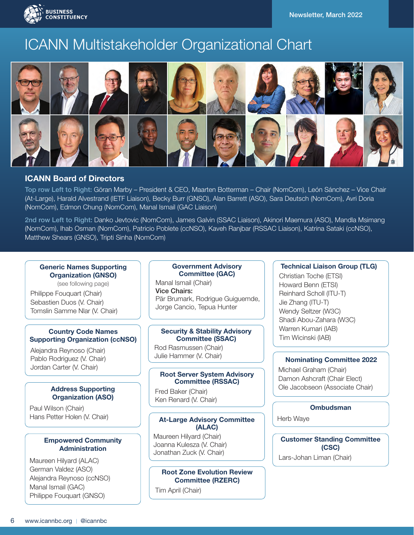

### ICANN Multistakeholder Organizational Chart



### ICANN Board of Directors

Top row Left to Right: Göran Marby – President & CEO, Maarten Botterman – Chair (NomCom), León Sánchez – Vice Chair (At-Large), Harald Alvestrand (IETF Liaison), Becky Burr (GNSO), Alan Barrett (ASO), Sara Deutsch (NomCom), Avri Doria (NomCom), Edmon Chung (NomCom), Manal Ismail (GAC Liaison)

2nd row Left to Right: Danko Jevtovic (NomCom), James Galvin (SSAC Liaison), Akinori Maemura (ASO), Mandla Msimang (NomCom), Ihab Osman (NomCom), Patricio Poblete (ccNSO), Kaveh Ranjbar (RSSAC Liaison), Katrina Sataki (ccNSO), Matthew Shears (GNSO), Tripti Sinha (NomCom)

### Generic Names Supporting Organization (GNSO)

(see following page) Philippe Fouquart (Chair) Sebastien Duos (V. Chair) Tomslin Samme Nlar (V. Chair)

### Country Code Names Supporting Organization (ccNSO)

Alejandra Reynoso (Chair) Pablo Rodriguez (V. Chair) Jordan Carter (V. Chair)

### Address Supporting Organization (ASO)

Paul Wilson (Chair) Hans Petter Holen (V. Chair)

### Empowered Community **Administration**

Maureen Hilyard (ALAC) German Valdez (ASO) Alejandra Reynoso (ccNSO) Manal Ismail (GAC) Philippe Fouquart (GNSO)

### Government Advisory Committee (GAC)

Manal Ismail (Chair) Vice Chairs: Pär Brumark, Rodrigue Guiguemde, Jorge Cancio, Tepua Hunter

### Security & Stability Advisory Committee (SSAC)

Rod Rasmussen (Chair) Julie Hammer (V. Chair)

### Root Server System Advisory Committee (RSSAC)

Fred Baker (Chair) Ken Renard (V. Chair)

### At-Large Advisory Committee (ALAC)

Maureen Hilyard (Chair) Joanna Kulesza (V. Chair) Jonathan Zuck (V. Chair)

### Root Zone Evolution Review Committee (RZERC)

Tim April (Chair)

### Technical Liaison Group (TLG)

Christian Toche (ETSI) Howard Benn (ETSI) Reinhard Scholl (ITU-T) Jie Zhang (ITU-T) Wendy Seltzer (W3C) Shadi Abou-Zahara (W3C) Warren Kumari (IAB) Tim Wicinski (IAB)

### Nominating Committee 2022

Michael Graham (Chair) Damon Ashcraft (Chair Elect) Ole Jacobseon (Associate Chair)

### Ombudsman

Herb Waye

Lars-Johan Liman (Chair) Customer Standing Committee (CSC)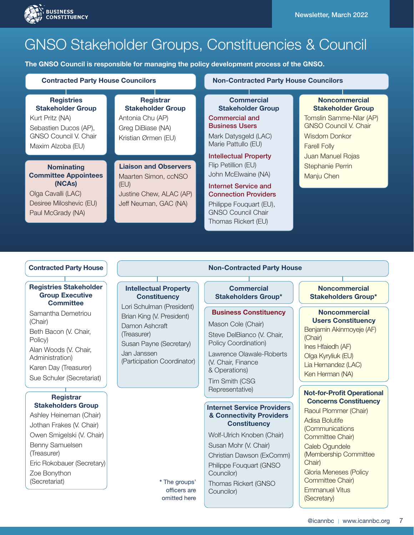



## GNSO Stakeholder Groups, Constituencies & Council

The GNSO Council is responsible for managing the policy development process of the GNSO.

### Kurt Pritz (NA) Sebastien Ducos (AP), GNSO Council V. Chair Maxim Alzoba (EU) **Registries** Stakeholder Group

### **Nominating** Committee Appointees (NCAs)

Olga Cavalli (LAC) Desiree Miloshevic (EU) Paul McGrady (NA)

Kristian Ørmen (EU) Maarten Simon, ccNSO (EU) Liaison and Observers

**Registrar** Stakeholder Group

Antonia Chu (AP) Greg DiBiase (NA)

Justine Chew, ALAC (AP) Jeff Neuman, GAC (NA)

#### **Contracted Party House Councilors Non-Contracted Party House Councilors**

Commercial and Business Users Mark Datysgeld (LAC) Marie Pattullo (EU) **Commercial** Stakeholder Group

Intellectual Property Flip Petillion (EU) John McElwaine (NA)

Internet Service and Connection Providers

Philippe Fouquart (EU), GNSO Council Chair Thomas Rickert (EU)

#### **Noncommercial** Stakeholder Group

Tomslin Samme-Nlar (AP) GNSO Council V. Chair Wisdom Donkor Farell Folly Juan Manuel Rojas Stephanie Perrin Manju Chen

### Registries Stakeholder Group Executive **Committee**

Samantha Demetriou (Chair) Beth Bacon (V. Chair, Policy) Alan Woods (V. Chair, Administration) Karen Day (Treasurer) Sue Schuler (Secretariat)

### **Registrar** Stakeholders Group

Ashley Heineman (Chair) Jothan Frakes (V. Chair) Owen Smigelski (V. Chair) Benny Samuelsen (Treasurer) Eric Rokobauer (Secretary) Zoe Bonython (Secretariat)

# Intellectual Property

**Constituency** 

Lori Schulman (President) Brian King (V. President) Damon Ashcraft (Treasurer) Susan Payne (Secretary) Jan Janssen (Participation Coordinator)

### Contracted Party House Non-Contracted Party House

**Commercial** Stakeholders Group\*

### Business Constituency

Mason Cole (Chair) Steve DelBianco (V. Chair, Policy Coordination)

Lawrence Olawale-Roberts (V. Chair, Finance & Operations)

Tim Smith (CSG Representative)

### Internet Service Providers & Connectivity Providers **Constituency**

Wolf-Ulrich Knoben (Chair) Susan Mohr (V. Chair) Christian Dawson (ExComm) Philippe Fouquart (GNSO Councilor) Thomas Rickert (GNSO Councilor)

### **Noncommercial** Stakeholders Group\*

### **Noncommercial** Users Constituency

Benjamin Akinmoyeje (AF) (Chair) Ines Hfaiedh (AF) Olga Kyryliuk (EU) Lia Hernandez (LAC) Ken Herman (NA)

### Not-for-Profit Operational Concerns Constituency

Raoul Plommer (Chair) Adisa Bolutife (Communications Committee Chair) Caleb Ogundele (Membership Committee Chair) Gloria Meneses (Policy Committee Chair) Emmanuel Vitus (Secretary)

\* The groups' officers are omitted here